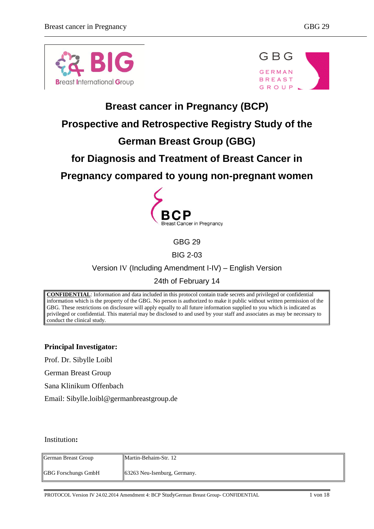



# **Breast cancer in Pregnancy (BCP)**

# **Prospective and Retrospective Registry Study of the**

# **German Breast Group (GBG)**

# **for Diagnosis and Treatment of Breast Cancer in**

# **Pregnancy compared to young non-pregnant women**



GBG 29

BIG 2-03

Version IV (Including Amendment I-IV) – English Version

## 24th of February 14

**CONFIDENTIAL**: Information and data included in this protocol contain trade secrets and privileged or confidential information which is the property of the GBG. No person is authorized to make it public without written permission of the GBG. These restrictions on disclosure will apply equally to all future information supplied to you which is indicated as privileged or confidential. This material may be disclosed to and used by your staff and associates as may be necessary to conduct the clinical study.

**Principal Investigator:**

Prof. Dr. Sibylle Loibl

German Breast Group

Sana Klinikum Offenbach

Email: Sibylle.loibl@germanbreastgroup.de

#### Institution**:**

| German Breast Group        | Martin-Behaim-Str. 12                    |
|----------------------------|------------------------------------------|
| <b>GBG</b> Forschungs GmbH | $\parallel$ 63263 Neu-Isenburg, Germany. |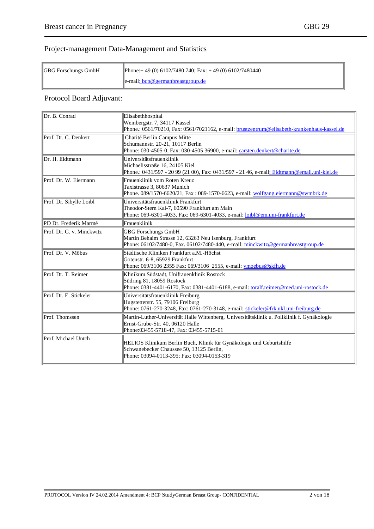## Project-management Data-Management and Statistics

| GBG Forschungs GmbH | Phone: + 49 (0) 6102/7480 740; Fax: + 49 (0) 6102/7480440 |  |
|---------------------|-----------------------------------------------------------|--|
|                     | e-mail: bcp@germanbreastgroup.de                          |  |

## Protocol Board Adjuvant:

<span id="page-1-0"></span>

| Dr. B. Conrad             | Elisabethhospital<br>Weinbergstr. 7, 34117 Kassel<br>Phone.: 0561/70210, Fax: 0561/7021162, e-mail: brustzentrum@elisabeth-krankenhaus-kassel.de                            |  |
|---------------------------|-----------------------------------------------------------------------------------------------------------------------------------------------------------------------------|--|
| Prof. Dr. C. Denkert      | Charité Berlin Campus Mitte<br>Schumannstr. 20-21, 10117 Berlin<br>Phone: 030-4505-0, Fax: 030-4505 36900, e-mail: carsten.denkert@charite.de                               |  |
| Dr. H. Eidtmann           | Universitätsfrauenklinik<br>Michaelisstraße 16, 24105 Kiel<br>Phone.: 0431/597 - 20 99 (21 00), Fax: 0431/597 - 21 46, e-mail: Eidtmann@email.uni-kiel.de                   |  |
| Prof. Dr. W. Eiermann     | Frauenklinik vom Roten Kreuz<br>Taxistrasse 3, 80637 Munich<br>Phone. 089/1570-6620/21, Fax: 089-1570-6623, e-mail: wolfgang.eiermann@swmbrk.de                             |  |
| Prof. Dr. Sibylle Loibl   | Universitätsfrauenklinik Frankfurt<br>Theodor-Stern Kai-7, 60590 Frankfurt am Main<br>Phone: 069-6301-4033, Fax: 069-6301-4033, e-mail: loibl@em.uni-frankfurt.de           |  |
| PD Dr. Frederik Marmé     | Frauenklinik                                                                                                                                                                |  |
| Prof. Dr. G. v. Minckwitz | <b>GBG Forschungs GmbH</b><br>Martin Behaim Strasse 12, 63263 Neu Isenburg, Frankfurt<br>Phone: 06102/7480-0, Fax. 06102/7480-440, e-mail: minckwitz@germanbreastgroup.de   |  |
| Prof. Dr. V. Möbus        | Städtische Kliniken Frankfurt a.M.-Höchst<br>Gotenstr. 6-8, 65929 Frankfurt<br>Phone: 069/3106 2355 Fax: 069/3106 2555, e-mail: vmoebus@skfh.de                             |  |
| Prof. Dr. T. Reimer       | Klinikum Südstadt, Unifrauenklinik Rostock<br>Südring 81, 18059 Rostock<br>Phone: 0381-4401-6170, Fax: 0381-4401-6188, e-mail: toralf.reimer@med.uni-rostock.de             |  |
| Prof. Dr. E. Stickeler    | Universitätsfrauenklinik Freiburg<br>Hugstetterstr. 55, 79106 Freiburg<br>Phone: 0761-270-3248, Fax: 0761-270-3148, e-mail: stickeler@frk.ukl.uni-freiburg.de               |  |
| Prof. Thomssen            | Martin-Luther-Universität Halle Wittenberg, Universitätsklinik u. Poliklinik f. Gynäkologie<br>Ernst-Grube-Str. 40, 06120 Halle<br>Phone: 03455-5718-47, Fax: 03455-5715-01 |  |
| Prof. Michael Untch       | HELIOS Klinikum Berlin Buch, Klinik für Gynäkologie und Geburtshilfe<br>Schwanebecker Chaussee 50, 13125 Berlin,<br>Phone: 03094-0113-395; Fax: 03094-0153-319              |  |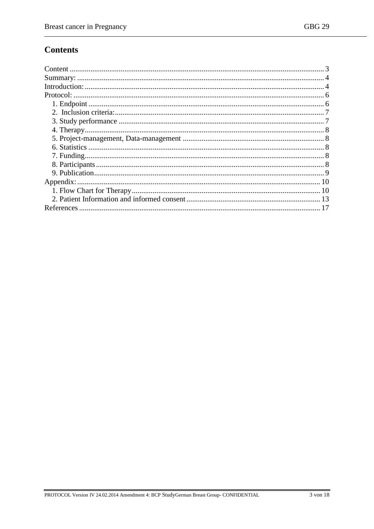# **Contents**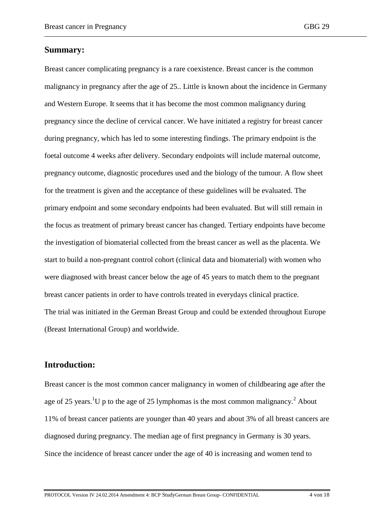#### <span id="page-3-0"></span>**Summary:**

Breast cancer complicating pregnancy is a rare coexistence. Breast cancer is the common malignancy in pregnancy after the age of 25.. Little is known about the incidence in Germany and Western Europe. It seems that it has become the most common malignancy during pregnancy since the decline of cervical cancer. We have initiated a registry for breast cancer during pregnancy, which has led to some interesting findings. The primary endpoint is the foetal outcome 4 weeks after delivery. Secondary endpoints will include maternal outcome, pregnancy outcome, diagnostic procedures used and the biology of the tumour. A flow sheet for the treatment is given and the acceptance of these guidelines will be evaluated. The primary endpoint and some secondary endpoints had been evaluated. But will still remain in the focus as treatment of primary breast cancer has changed. Tertiary endpoints have become the investigation of biomaterial collected from the breast cancer as well as the placenta. We start to build a non-pregnant control cohort (clinical data and biomaterial) with women who were diagnosed with breast cancer below the age of 45 years to match them to the pregnant breast cancer patients in order to have controls treated in everydays clinical practice. The trial was initiated in the German Breast Group and could be extended throughout Europe (Breast International Group) and worldwide.

#### <span id="page-3-1"></span>**Introduction:**

Breast cancer is the most common cancer malignancy in women of childbearing age after the age of 25 years.<sup>1</sup>U p to the age of 25 lymphomas is the most common malignancy.<sup>2</sup> About 11% of breast cancer patients are younger than 40 years and about 3% of all breast cancers are diagnosed during pregnancy. The median age of first pregnancy in Germany is 30 years. Since the incidence of breast cancer under the age of 40 is increasing and women tend to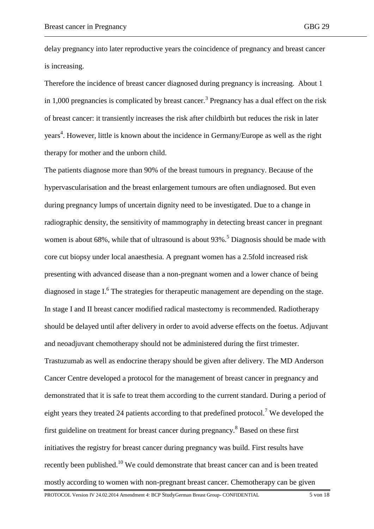delay pregnancy into later reproductive years the coincidence of pregnancy and breast cancer is increasing.

Therefore the incidence of breast cancer diagnosed during pregnancy is increasing. About 1 in 1,000 pregnancies is complicated by breast cancer.<sup>3</sup> Pregnancy has a dual effect on the risk of breast cancer: it transiently increases the risk after childbirth but reduces the risk in later years 4 . However, little is known about the incidence in Germany/Europe as well as the right therapy for mother and the unborn child.

The patients diagnose more than 90% of the breast tumours in pregnancy. Because of the hypervascularisation and the breast enlargement tumours are often undiagnosed. But even during pregnancy lumps of uncertain dignity need to be investigated. Due to a change in radiographic density, the sensitivity of mammography in detecting breast cancer in pregnant women is about 68%, while that of ultrasound is about 93%.<sup>5</sup> Diagnosis should be made with core cut biopsy under local anaesthesia. A pregnant women has a 2.5fold increased risk presenting with advanced disease than a non-pregnant women and a lower chance of being diagnosed in stage  $I^6$ . The strategies for therapeutic management are depending on the stage. In stage I and II breast cancer modified radical mastectomy is recommended. Radiotherapy should be delayed until after delivery in order to avoid adverse effects on the foetus. Adjuvant and neoadjuvant chemotherapy should not be administered during the first trimester. Trastuzumab as well as endocrine therapy should be given after delivery. The MD Anderson Cancer Centre developed a protocol for the management of breast cancer in pregnancy and demonstrated that it is safe to treat them according to the current standard. During a period of eight years they treated 24 patients according to that predefined protocol.<sup>7</sup> We developed the first guideline on treatment for breast cancer during pregnancy.<sup>8</sup> Based on these first initiatives the registry for breast cancer during pregnancy was build. First results have recently been published.<sup>10</sup> We could demonstrate that breast cancer can and is been treated mostly according to women with non-pregnant breast cancer. Chemotherapy can be given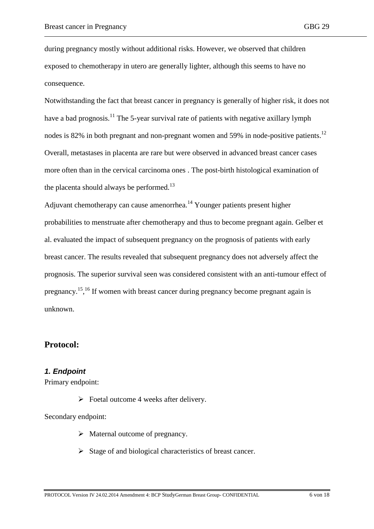during pregnancy mostly without additional risks. However, we observed that children exposed to chemotherapy in utero are generally lighter, although this seems to have no consequence.

Notwithstanding the fact that breast cancer in pregnancy is generally of higher risk, it does not have a bad prognosis.<sup>11</sup> The 5-year survival rate of patients with negative axillary lymph nodes is 82% in both pregnant and non-pregnant women and 59% in node-positive patients.<sup>12</sup> Overall, metastases in placenta are rare but were observed in advanced breast cancer cases more often than in the cervical carcinoma ones . The post-birth histological examination of the placenta should always be performed. $^{13}$ 

Adjuvant chemotherapy can cause amenorrhea.<sup>14</sup> Younger patients present higher probabilities to menstruate after chemotherapy and thus to become pregnant again. Gelber et al. evaluated the impact of subsequent pregnancy on the prognosis of patients with early breast cancer. The results revealed that subsequent pregnancy does not adversely affect the prognosis. The superior survival seen was considered consistent with an anti-tumour effect of pregnancy.<sup>15, 16</sup> If women with breast cancer during pregnancy become pregnant again is unknown.

## <span id="page-5-0"></span>**Protocol:**

### <span id="page-5-1"></span>*1. Endpoint*

Primary endpoint:

 $\triangleright$  Foetal outcome 4 weeks after delivery.

Secondary endpoint:

- $\triangleright$  Maternal outcome of pregnancy.
- $\triangleright$  Stage of and biological characteristics of breast cancer.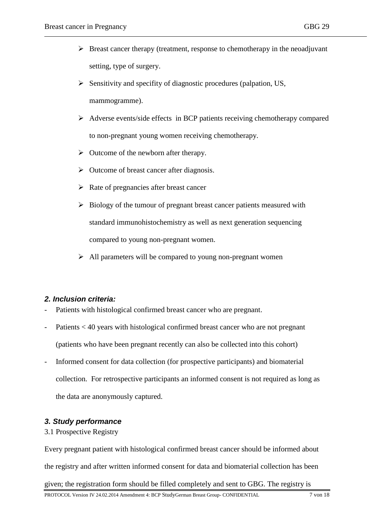- $\triangleright$  Breast cancer therapy (treatment, response to chemotherapy in the neoadjuvant setting, type of surgery.
- $\triangleright$  Sensitivity and specifity of diagnostic procedures (palpation, US, mammogramme).
- $\triangleright$  Adverse events/side effects in BCP patients receiving chemotherapy compared to non-pregnant young women receiving chemotherapy.
- $\triangleright$  Outcome of the newborn after therapy.
- $\triangleright$  Outcome of breast cancer after diagnosis.
- $\triangleright$  Rate of pregnancies after breast cancer
- $\triangleright$  Biology of the tumour of pregnant breast cancer patients measured with standard immunohistochemistry as well as next generation sequencing compared to young non-pregnant women.
- $\triangleright$  All parameters will be compared to young non-pregnant women

#### <span id="page-6-0"></span>*2. Inclusion criteria:*

- Patients with histological confirmed breast cancer who are pregnant.
- Patients < 40 years with histological confirmed breast cancer who are not pregnant (patients who have been pregnant recently can also be collected into this cohort)
- Informed consent for data collection (for prospective participants) and biomaterial collection. For retrospective participants an informed consent is not required as long as the data are anonymously captured.

#### <span id="page-6-1"></span>*3. Study performance*

#### 3.1 Prospective Registry

Every pregnant patient with histological confirmed breast cancer should be informed about the registry and after written informed consent for data and biomaterial collection has been given; the registration form should be filled completely and sent to GBG. The registry is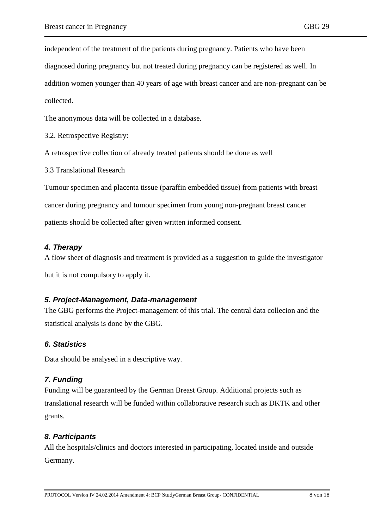independent of the treatment of the patients during pregnancy. Patients who have been diagnosed during pregnancy but not treated during pregnancy can be registered as well. In addition women younger than 40 years of age with breast cancer and are non-pregnant can be collected.

The anonymous data will be collected in a database.

3.2. Retrospective Registry:

A retrospective collection of already treated patients should be done as well

3.3 Translational Research

Tumour specimen and placenta tissue (paraffin embedded tissue) from patients with breast cancer during pregnancy and tumour specimen from young non-pregnant breast cancer patients should be collected after given written informed consent.

### <span id="page-7-0"></span>*4. Therapy*

A flow sheet of diagnosis and treatment is provided as a suggestion to guide the investigator but it is not compulsory to apply it.

#### <span id="page-7-1"></span>*5. Project-Management, Data-management*

The GBG performs the Project-management of this trial. The central data collecion and the statistical analysis is done by the GBG.

#### <span id="page-7-2"></span>*6. Statistics*

Data should be analysed in a descriptive way.

## <span id="page-7-3"></span>*7. Funding*

Funding will be guaranteed by the German Breast Group. Additional projects such as translational research will be funded within collaborative research such as DKTK and other grants.

## <span id="page-7-4"></span>*8. Participants*

All the hospitals/clinics and doctors interested in participating, located inside and outside Germany.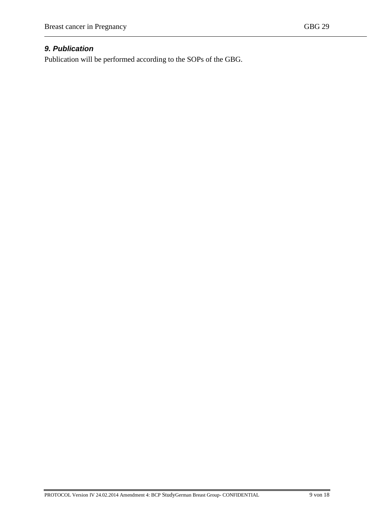## <span id="page-8-0"></span>*9. Publication*

Publication will be performed according to the SOPs of the GBG.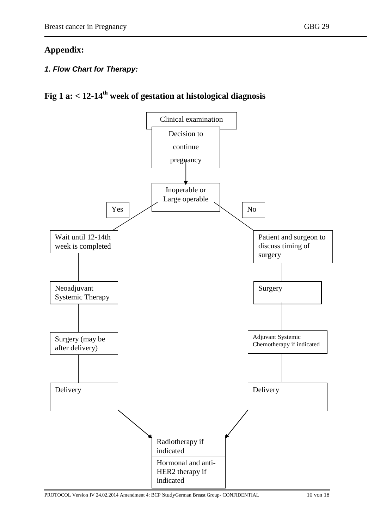## <span id="page-9-0"></span>**Appendix:**

## <span id="page-9-1"></span>*1. Flow Chart for Therapy:*

# **Fig 1 a: < 12-14th week of gestation at histological diagnosis**

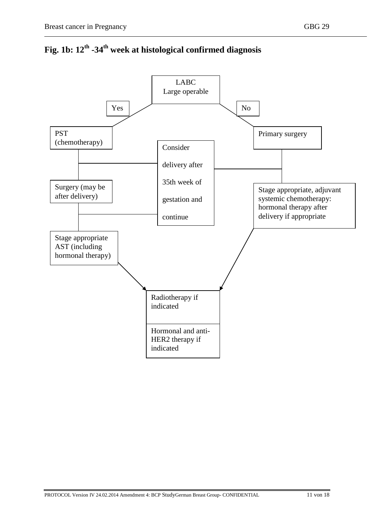

**Fig. 1b: 12th -34th week at histological confirmed diagnosis**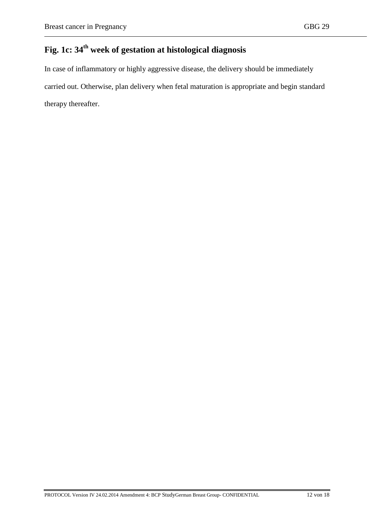# **Fig. 1c: 34th week of gestation at histological diagnosis**

<span id="page-11-0"></span>In case of inflammatory or highly aggressive disease, the delivery should be immediately carried out. Otherwise, plan delivery when fetal maturation is appropriate and begin standard therapy thereafter.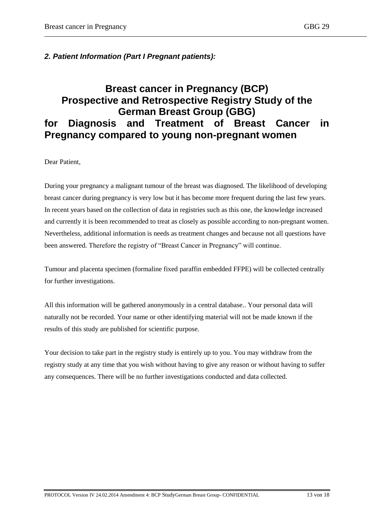### *2. Patient Information (Part I Pregnant patients):*

# **Breast cancer in Pregnancy (BCP) Prospective and Retrospective Registry Study of the German Breast Group (GBG) for Diagnosis and Treatment of Breast Cancer in Pregnancy compared to young non-pregnant women**

Dear Patient,

During your pregnancy a malignant tumour of the breast was diagnosed. The likelihood of developing breast cancer during pregnancy is very low but it has become more frequent during the last few years. In recent years based on the collection of data in registries such as this one, the knowledge increased and currently it is been recommended to treat as closely as possible according to non-pregnant women. Nevertheless, additional information is needs as treatment changes and because not all questions have been answered. Therefore the registry of "Breast Cancer in Pregnancy" will continue.

Tumour and placenta specimen (formaline fixed paraffin embedded FFPE) will be collected centrally for further investigations.

All this information will be gathered anonymously in a central database.. Your personal data will naturally not be recorded. Your name or other identifying material will not be made known if the results of this study are published for scientific purpose.

Your decision to take part in the registry study is entirely up to you. You may withdraw from the registry study at any time that you wish without having to give any reason or without having to suffer any consequences. There will be no further investigations conducted and data collected.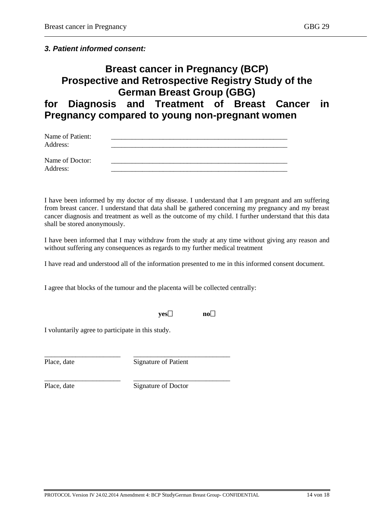### *3. Patient informed consent:*

# **Breast cancer in Pregnancy (BCP) Prospective and Retrospective Registry Study of the German Breast Group (GBG) for Diagnosis and Treatment of Breast Cancer in Pregnancy compared to young non-pregnant women**

| Name of Patient:<br>Address: |  |  |
|------------------------------|--|--|
| Name of Doctor:<br>Address:  |  |  |

I have been informed by my doctor of my disease. I understand that I am pregnant and am suffering from breast cancer. I understand that data shall be gathered concerning my pregnancy and my breast cancer diagnosis and treatment as well as the outcome of my child. I further understand that this data shall be stored anonymously.

I have been informed that I may withdraw from the study at any time without giving any reason and without suffering any consequences as regards to my further medical treatment

I have read and understood all of the information presented to me in this informed consent document.

I agree that blocks of the tumour and the placenta will be collected centrally:

\_\_\_\_\_\_\_\_\_\_\_\_\_\_\_\_\_\_\_\_\_\_ \_\_\_\_\_\_\_\_\_\_\_\_\_\_\_\_\_\_\_\_\_\_\_\_\_\_\_\_

\_\_\_\_\_\_\_\_\_\_\_\_\_\_\_\_\_\_\_\_\_\_ \_\_\_\_\_\_\_\_\_\_\_\_\_\_\_\_\_\_\_\_\_\_\_\_\_\_\_\_

| vesl | nol |
|------|-----|
|      |     |

I voluntarily agree to participate in this study.

Place, date Signature of Patient

Place, date Signature of Doctor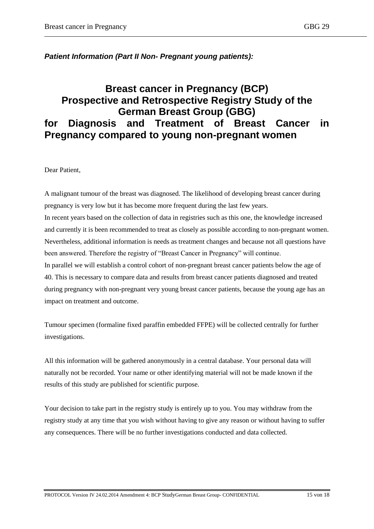## *Patient Information (Part II Non- Pregnant young patients):*

# **Breast cancer in Pregnancy (BCP) Prospective and Retrospective Registry Study of the German Breast Group (GBG) for Diagnosis and Treatment of Breast Cancer in Pregnancy compared to young non-pregnant women**

Dear Patient,

A malignant tumour of the breast was diagnosed. The likelihood of developing breast cancer during pregnancy is very low but it has become more frequent during the last few years. In recent years based on the collection of data in registries such as this one, the knowledge increased and currently it is been recommended to treat as closely as possible according to non-pregnant women. Nevertheless, additional information is needs as treatment changes and because not all questions have been answered. Therefore the registry of "Breast Cancer in Pregnancy" will continue. In parallel we will establish a control cohort of non-pregnant breast cancer patients below the age of 40. This is necessary to compare data and results from breast cancer patients diagnosed and treated during pregnancy with non-pregnant very young breast cancer patients, because the young age has an impact on treatment and outcome.

Tumour specimen (formaline fixed paraffin embedded FFPE) will be collected centrally for further investigations.

All this information will be gathered anonymously in a central database. Your personal data will naturally not be recorded. Your name or other identifying material will not be made known if the results of this study are published for scientific purpose.

Your decision to take part in the registry study is entirely up to you. You may withdraw from the registry study at any time that you wish without having to give any reason or without having to suffer any consequences. There will be no further investigations conducted and data collected.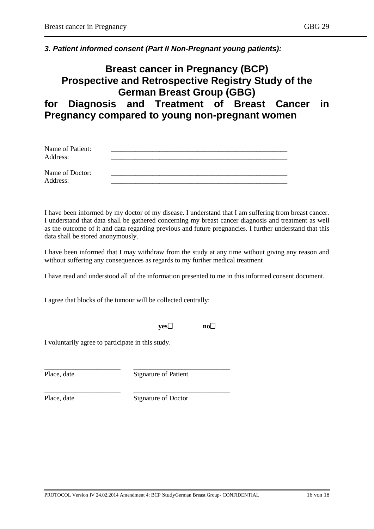### *3. Patient informed consent (Part II Non-Pregnant young patients):*

# **Breast cancer in Pregnancy (BCP) Prospective and Retrospective Registry Study of the German Breast Group (GBG) for Diagnosis and Treatment of Breast Cancer in Pregnancy compared to young non-pregnant women**

| Name of Patient:<br>Address: |  |
|------------------------------|--|
| Name of Doctor:<br>Address:  |  |

I have been informed by my doctor of my disease. I understand that I am suffering from breast cancer. I understand that data shall be gathered concerning my breast cancer diagnosis and treatment as well as the outcome of it and data regarding previous and future pregnancies. I further understand that this data shall be stored anonymously.

I have been informed that I may withdraw from the study at any time without giving any reason and without suffering any consequences as regards to my further medical treatment

I have read and understood all of the information presented to me in this informed consent document.

I agree that blocks of the tumour will be collected centrally:

\_\_\_\_\_\_\_\_\_\_\_\_\_\_\_\_\_\_\_\_\_\_ \_\_\_\_\_\_\_\_\_\_\_\_\_\_\_\_\_\_\_\_\_\_\_\_\_\_\_\_

\_\_\_\_\_\_\_\_\_\_\_\_\_\_\_\_\_\_\_\_\_\_ \_\_\_\_\_\_\_\_\_\_\_\_\_\_\_\_\_\_\_\_\_\_\_\_\_\_\_\_

#### **yes no**

I voluntarily agree to participate in this study.

Place, date Signature of Patient

Place, date Signature of Doctor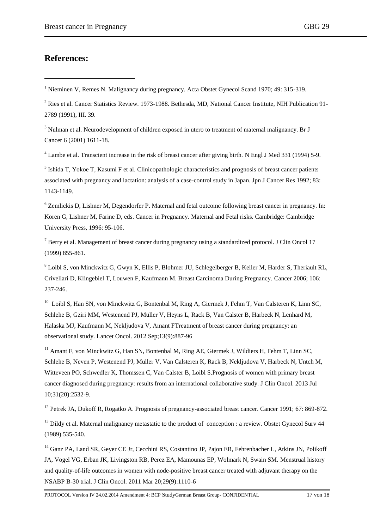## <span id="page-16-0"></span>**References:**

<u>.</u>

<sup>4</sup> Lambe et al. Transcient increase in the risk of breast cancer after giving birth. N Engl J Med 331 (1994) 5-9.

<sup>5</sup> Ishida T, Yokoe T, Kasumi F et al. Clinicopathologic characteristics and prognosis of breast cancer patients associated with pregnancy and lactation: analysis of a case-control study in Japan. Jpn J Cancer Res 1992; 83: 1143-1149.

<sup>6</sup> Zemlickis D, Lishner M, Degendorfer P. Maternal and fetal outcome following breast cancer in pregnancy. In: Koren G, Lishner M, Farine D, eds. Cancer in Pregnancy. Maternal and Fetal risks. Cambridge: Cambridge University Press, 1996: 95-106.

<sup>7</sup> Berry et al. Management of breast cancer during pregnancy using a standardized protocol. J Clin Oncol 17 (1999) 855-861.

<sup>8</sup> Loibl S, von Minckwitz G, Gwyn K, Ellis P, Blohmer JU, Schlegelberger B, Keller M, Harder S, Theriault RL, Crivellari D, Klingebiel T, Louwen F, Kaufmann M. Breast Carcinoma During Pregnancy. Cancer 2006; 106: 237-246.

<sup>10</sup> Loibl S, Han SN, von Minckwitz G, Bontenbal M, Ring A, Giermek J, Fehm T, Van Calsteren K, Linn SC, Schlehe B, Gziri MM, Westenend PJ, Müller V, Heyns L, Rack B, Van Calster B, Harbeck N, Lenhard M, Halaska MJ, Kaufmann M, Nekljudova V, Amant FTreatment of breast cancer during pregnancy: an observational study. Lancet Oncol. 2012 Sep;13(9):887-96

<sup>11</sup> Amant F, von Minckwitz G, Han SN, Bontenbal M, Ring AE, Giermek J, Wildiers H, Fehm T, Linn SC, Schlehe B, Neven P, Westenend PJ, Müller V, Van Calsteren K, Rack B, Nekljudova V, Harbeck N, Untch M, Witteveen PO, Schwedler K, Thomssen C, Van Calster B, Loibl S.Prognosis of women with primary breast cancer diagnosed during pregnancy: results from an international collaborative study. J Clin Oncol. 2013 Jul 10;31(20):2532-9.

<sup>12</sup> Petrek JA, Dukoff R, Rogatko A. Prognosis of pregnancy-associated breast cancer. Cancer 1991; 67: 869-872.

<sup>13</sup> Dildy et al. Maternal malignancy metastatic to the product of conception : a review. Obstet Gynecol Sury 44 (1989) 535-540.

<sup>14</sup> Ganz PA, Land SR, Geyer CE Jr, Cecchini RS, Costantino JP, Pajon ER, Fehrenbacher L, Atkins JN, Polikoff JA, Vogel VG, Erban JK, Livingston RB, Perez EA, Mamounas EP, Wolmark N, Swain SM. Menstrual history and quality-of-life outcomes in women with node-positive breast cancer treated with adjuvant therapy on the NSABP B-30 trial. J Clin Oncol. 2011 Mar 20;29(9):1110-6

<sup>&</sup>lt;sup>1</sup> Nieminen V, Remes N. Malignancy during pregnancy. Acta Obstet Gynecol Scand 1970; 49: 315-319.

<sup>&</sup>lt;sup>2</sup> Ries et al. Cancer Statistics Review. 1973-1988. Bethesda, MD, National Cancer Institute, NIH Publication 91-2789 (1991), III. 39.

<sup>&</sup>lt;sup>3</sup> Nulman et al. Neurodevelopment of children exposed in utero to treatment of maternal malignancy. Br J Cancer 6 (2001) 1611-18.